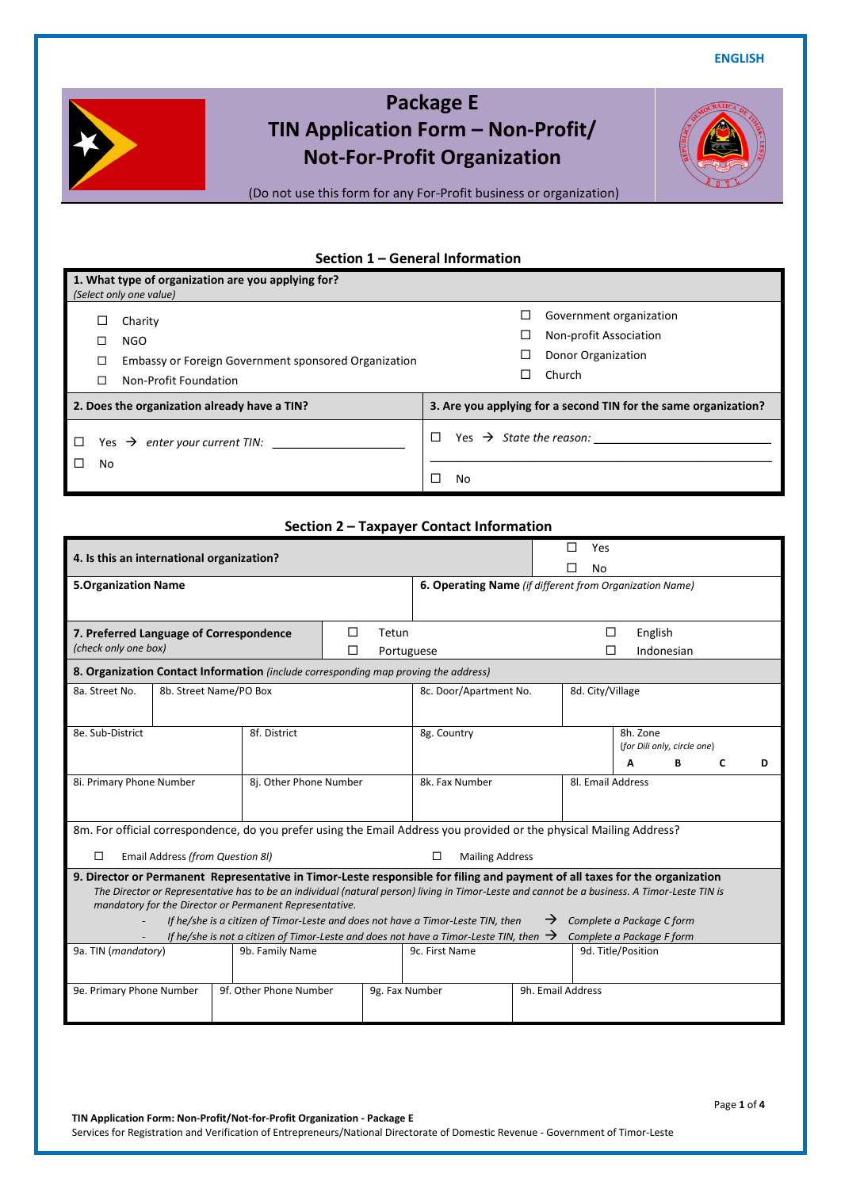**ENGLISH**



# **Package E TIN Application Form – Non-Profit/ Not-For-Profit Organization**

(Do not use this form for any For-Profit business or organization)

## **Section 1 – General Information**

| 1. What type of organization are you applying for? |                                                      |                                          |                                                                 |  |  |  |  |
|----------------------------------------------------|------------------------------------------------------|------------------------------------------|-----------------------------------------------------------------|--|--|--|--|
|                                                    | (Select only one value)                              |                                          |                                                                 |  |  |  |  |
|                                                    | Charity                                              | ப                                        | Government organization                                         |  |  |  |  |
|                                                    | <b>NGO</b>                                           | ⊔                                        | Non-profit Association                                          |  |  |  |  |
| □                                                  | Embassy or Foreign Government sponsored Organization |                                          | Donor Organization                                              |  |  |  |  |
| □                                                  | Non-Profit Foundation                                |                                          | Church                                                          |  |  |  |  |
|                                                    | 2. Does the organization already have a TIN?         |                                          | 3. Are you applying for a second TIN for the same organization? |  |  |  |  |
|                                                    | enter your current TIN:<br>Yes $\rightarrow$         | Yes $\rightarrow$ State the reason:<br>П |                                                                 |  |  |  |  |
| No                                                 |                                                      | No                                       |                                                                 |  |  |  |  |

# **Section 2 – Taxpayer Contact Information**

| 4. Is this an international organization?                                                                                                                                                                                                                                   |                                                                                                                                |                                                         |                        |  |                    | Yes                              |            |   |   |
|-----------------------------------------------------------------------------------------------------------------------------------------------------------------------------------------------------------------------------------------------------------------------------|--------------------------------------------------------------------------------------------------------------------------------|---------------------------------------------------------|------------------------|--|--------------------|----------------------------------|------------|---|---|
|                                                                                                                                                                                                                                                                             |                                                                                                                                |                                                         |                        |  |                    | No                               |            |   |   |
| <b>5.Organization Name</b>                                                                                                                                                                                                                                                  |                                                                                                                                | 6. Operating Name (if different from Organization Name) |                        |  |                    |                                  |            |   |   |
|                                                                                                                                                                                                                                                                             |                                                                                                                                |                                                         |                        |  |                    |                                  |            |   |   |
| 7. Preferred Language of Correspondence                                                                                                                                                                                                                                     |                                                                                                                                | □<br>Tetun                                              |                        |  | □                  | English                          |            |   |   |
| (check only one box)                                                                                                                                                                                                                                                        |                                                                                                                                | П                                                       | Portuguese             |  |                    |                                  | Indonesian |   |   |
| <b>8. Organization Contact Information</b> (include corresponding map proving the address)                                                                                                                                                                                  |                                                                                                                                |                                                         |                        |  |                    |                                  |            |   |   |
| 8a. Street No.<br>8b. Street Name/PO Box                                                                                                                                                                                                                                    |                                                                                                                                |                                                         | 8c. Door/Apartment No. |  | 8d. City/Village   |                                  |            |   |   |
|                                                                                                                                                                                                                                                                             |                                                                                                                                |                                                         |                        |  |                    |                                  |            |   |   |
| 8e. Sub-District                                                                                                                                                                                                                                                            | 8f. District                                                                                                                   |                                                         | 8g. Country            |  |                    | 8h. Zone                         |            |   |   |
|                                                                                                                                                                                                                                                                             |                                                                                                                                |                                                         |                        |  |                    | (for Dili only, circle one)<br>Α | В          |   | D |
|                                                                                                                                                                                                                                                                             |                                                                                                                                |                                                         |                        |  |                    |                                  |            | C |   |
| 8i. Primary Phone Number                                                                                                                                                                                                                                                    | 8j. Other Phone Number                                                                                                         |                                                         | 8k. Fax Number         |  | 8l. Email Address  |                                  |            |   |   |
|                                                                                                                                                                                                                                                                             |                                                                                                                                |                                                         |                        |  |                    |                                  |            |   |   |
| 8m. For official correspondence, do you prefer using the Email Address you provided or the physical Mailing Address?                                                                                                                                                        |                                                                                                                                |                                                         |                        |  |                    |                                  |            |   |   |
| $\Box$                                                                                                                                                                                                                                                                      |                                                                                                                                |                                                         | $\Box$                 |  |                    |                                  |            |   |   |
|                                                                                                                                                                                                                                                                             | Email Address (from Question 8I)<br><b>Mailing Address</b>                                                                     |                                                         |                        |  |                    |                                  |            |   |   |
| 9. Director or Permanent Representative in Timor-Leste responsible for filing and payment of all taxes for the organization<br>The Director or Representative has to be an individual (natural person) living in Timor-Leste and cannot be a business. A Timor-Leste TIN is |                                                                                                                                |                                                         |                        |  |                    |                                  |            |   |   |
| mandatory for the Director or Permanent Representative.                                                                                                                                                                                                                     |                                                                                                                                |                                                         |                        |  |                    |                                  |            |   |   |
|                                                                                                                                                                                                                                                                             | If he/she is a citizen of Timor-Leste and does not have a Timor-Leste TIN, then<br>Complete a Package C form                   |                                                         |                        |  |                    |                                  |            |   |   |
|                                                                                                                                                                                                                                                                             | If he/she is not a citizen of Timor-Leste and does not have a Timor-Leste TIN, then $\rightarrow$<br>Complete a Package F form |                                                         |                        |  |                    |                                  |            |   |   |
| 9a. TIN (mandatory)<br>9b. Family Name                                                                                                                                                                                                                                      |                                                                                                                                |                                                         | 9c. First Name         |  | 9d. Title/Position |                                  |            |   |   |
|                                                                                                                                                                                                                                                                             |                                                                                                                                |                                                         |                        |  |                    |                                  |            |   |   |
| 9f. Other Phone Number<br>9e. Primary Phone Number                                                                                                                                                                                                                          |                                                                                                                                | 9g. Fax Number                                          | 9h. Email Address      |  |                    |                                  |            |   |   |
|                                                                                                                                                                                                                                                                             |                                                                                                                                |                                                         |                        |  |                    |                                  |            |   |   |

**TIN Application Form: Non-Profit/Not-for-Profit Organization - Package E** Services for Registration and Verification of Entrepreneurs/National Directorate of Domestic Revenue - Government of Timor-Leste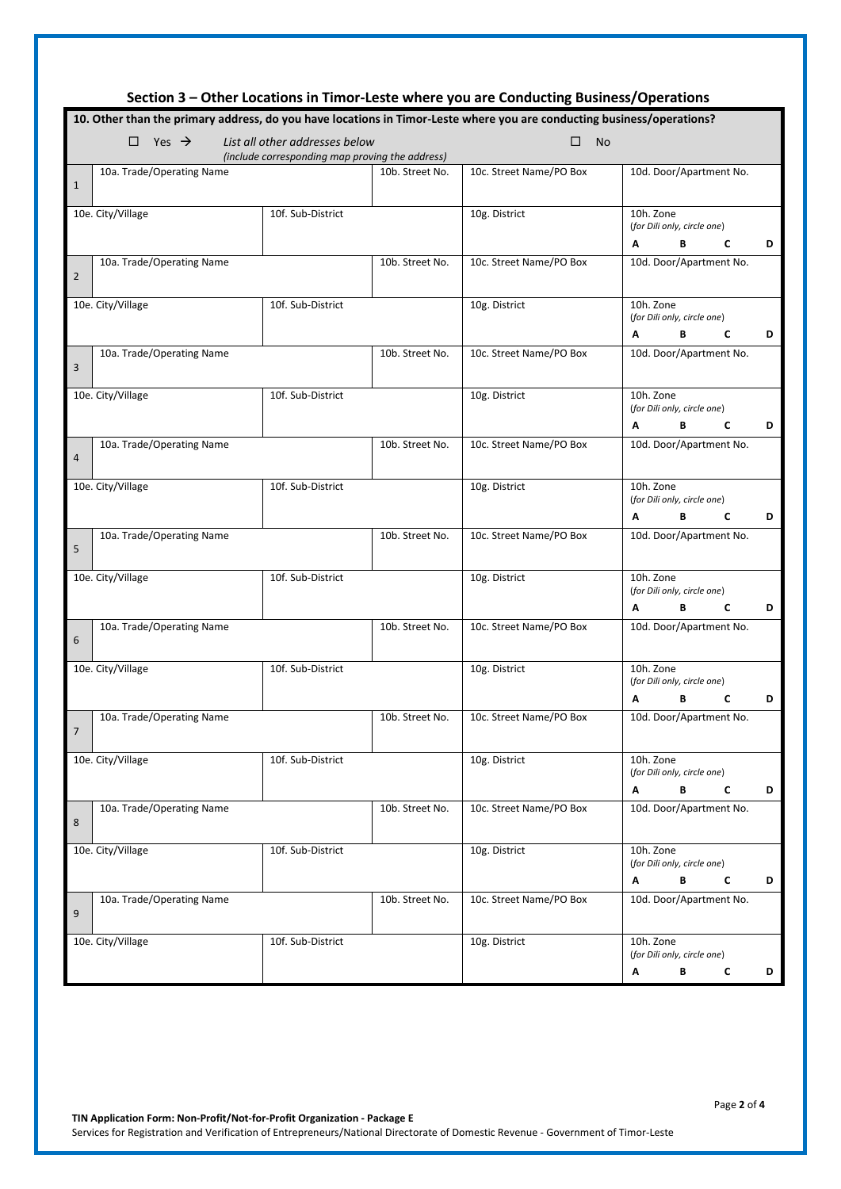| Section 3 – Other Locations in Timor-Leste where you are Conducting Business/Operations                                |                                                 |                 |                         |                                                              |  |  |  |
|------------------------------------------------------------------------------------------------------------------------|-------------------------------------------------|-----------------|-------------------------|--------------------------------------------------------------|--|--|--|
| 10. Other than the primary address, do you have locations in Timor-Leste where you are conducting business/operations? |                                                 |                 |                         |                                                              |  |  |  |
| Yes $\rightarrow$<br>List all other addresses below<br>□<br>□<br><b>No</b>                                             |                                                 |                 |                         |                                                              |  |  |  |
|                                                                                                                        | (include corresponding map proving the address) |                 |                         |                                                              |  |  |  |
| 10a. Trade/Operating Name<br>$\mathbf{1}$                                                                              |                                                 | 10b. Street No. | 10c. Street Name/PO Box | 10d. Door/Apartment No.                                      |  |  |  |
| 10e. City/Village                                                                                                      | 10f. Sub-District                               |                 | 10g. District           | 10h. Zone<br>(for Dili only, circle one)                     |  |  |  |
| 10a. Trade/Operating Name<br>$\overline{2}$                                                                            |                                                 | 10b. Street No. | 10c. Street Name/PO Box | C<br>В<br>D<br>Α<br>10d. Door/Apartment No.                  |  |  |  |
| 10e. City/Village                                                                                                      | 10f. Sub-District                               |                 | 10g. District           | 10h. Zone<br>(for Dili only, circle one)<br>C<br>D<br>A<br>В |  |  |  |
| 10a. Trade/Operating Name<br>3                                                                                         |                                                 | 10b. Street No. | 10c. Street Name/PO Box | 10d. Door/Apartment No.                                      |  |  |  |
| 10e. City/Village                                                                                                      | 10f. Sub-District                               |                 | 10g. District           | 10h. Zone<br>(for Dili only, circle one)<br>В<br>C<br>D<br>Α |  |  |  |
| 10a. Trade/Operating Name<br>$\overline{4}$                                                                            |                                                 | 10b. Street No. | 10c. Street Name/PO Box | 10d. Door/Apartment No.                                      |  |  |  |
| 10e. City/Village                                                                                                      | 10f. Sub-District                               |                 | 10g. District           | 10h. Zone<br>(for Dili only, circle one)<br>D<br>Α<br>В<br>C |  |  |  |
| 10a. Trade/Operating Name<br>5                                                                                         |                                                 | 10b. Street No. | 10c. Street Name/PO Box | 10d. Door/Apartment No.                                      |  |  |  |
| 10e. City/Village                                                                                                      | 10f. Sub-District                               |                 | 10g. District           | 10h. Zone<br>(for Dili only, circle one)<br>C<br>D<br>Α<br>В |  |  |  |
| 10a. Trade/Operating Name<br>6                                                                                         |                                                 | 10b. Street No. | 10c. Street Name/PO Box | 10d. Door/Apartment No.                                      |  |  |  |
| 10e. City/Village                                                                                                      | 10f. Sub-District                               |                 | 10g. District           | 10h. Zone<br>(for Dili only, circle one)<br>в<br>C<br>D<br>A |  |  |  |
| 10a. Trade/Operating Name<br>$\overline{7}$                                                                            |                                                 | 10b. Street No. | 10c. Street Name/PO Box | 10d. Door/Apartment No.                                      |  |  |  |
| 10e. City/Village                                                                                                      | 10f. Sub-District                               |                 | 10g. District           | 10h. Zone<br>(for Dili only, circle one)<br>В<br>C<br>D<br>Α |  |  |  |
| 10a. Trade/Operating Name<br>8                                                                                         |                                                 | 10b. Street No. | 10c. Street Name/PO Box | 10d. Door/Apartment No.                                      |  |  |  |
| 10e. City/Village                                                                                                      | 10f. Sub-District                               |                 | 10g. District           | 10h. Zone<br>(for Dili only, circle one)<br>В<br>C<br>D<br>Α |  |  |  |
| 10a. Trade/Operating Name<br>9                                                                                         |                                                 | 10b. Street No. | 10c. Street Name/PO Box | 10d. Door/Apartment No.                                      |  |  |  |
| 10e. City/Village                                                                                                      | 10f. Sub-District                               |                 | 10g. District           | 10h. Zone<br>(for Dili only, circle one)                     |  |  |  |
|                                                                                                                        |                                                 |                 |                         | В<br>c<br>D<br>A                                             |  |  |  |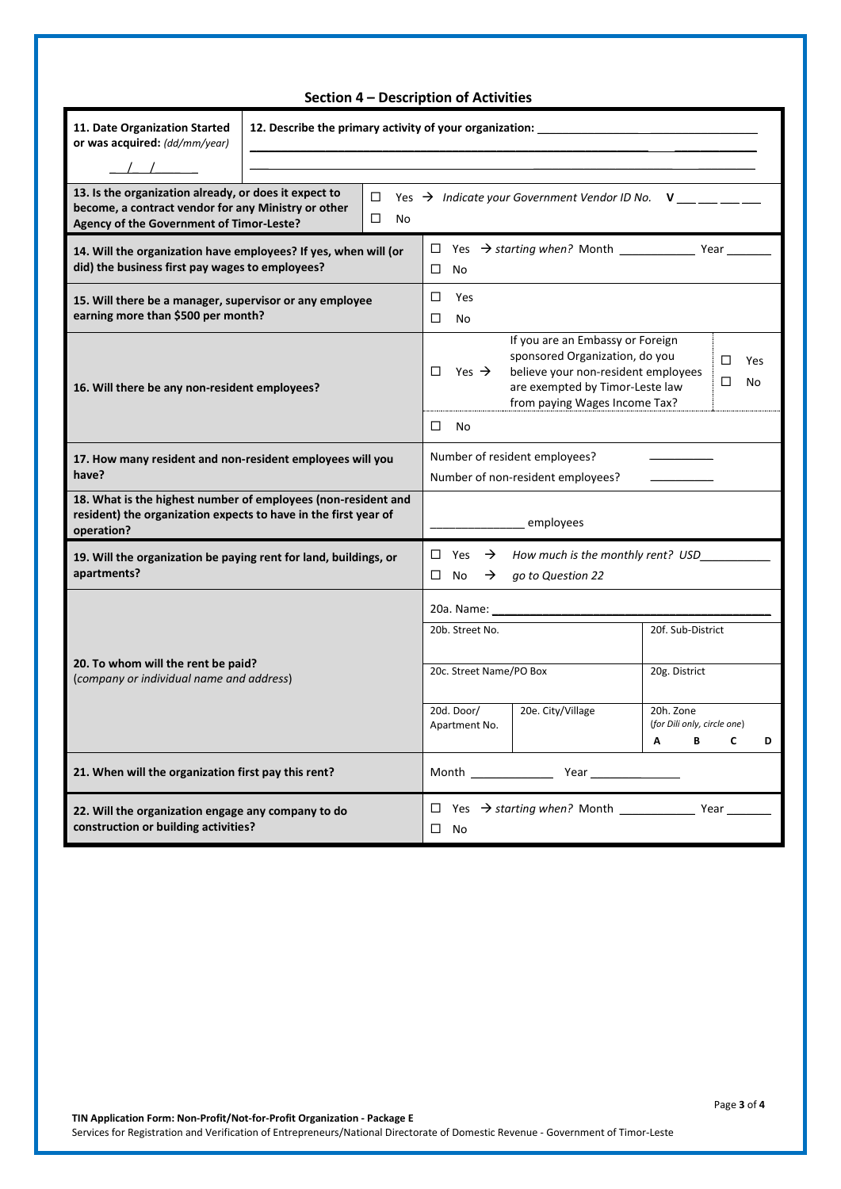| Section 4 - Description of Activities                                                                                                                    |                                                         |                                                                                                                                                                                                                                                           |  |  |  |  |
|----------------------------------------------------------------------------------------------------------------------------------------------------------|---------------------------------------------------------|-----------------------------------------------------------------------------------------------------------------------------------------------------------------------------------------------------------------------------------------------------------|--|--|--|--|
| 11. Date Organization Started<br>or was acquired: (dd/mm/year)                                                                                           | 12. Describe the primary activity of your organization: |                                                                                                                                                                                                                                                           |  |  |  |  |
| 13. Is the organization already, or does it expect to<br>become, a contract vendor for any Ministry or other<br>Agency of the Government of Timor-Leste? | $\Box$<br>No                                            | Yes $\rightarrow$ Indicate your Government Vendor ID No. $V_{\frac{1}{2}} =$                                                                                                                                                                              |  |  |  |  |
| 14. Will the organization have employees? If yes, when will (or<br>did) the business first pay wages to employees?                                       |                                                         | $\Box$<br>No                                                                                                                                                                                                                                              |  |  |  |  |
| 15. Will there be a manager, supervisor or any employee<br>earning more than \$500 per month?                                                            |                                                         | □<br>Yes<br>□<br>No                                                                                                                                                                                                                                       |  |  |  |  |
| 16. Will there be any non-resident employees?                                                                                                            |                                                         | If you are an Embassy or Foreign<br>sponsored Organization, do you<br>□<br>Yes<br>believe your non-resident employees<br>Yes $\rightarrow$<br>п<br>□<br>No<br>are exempted by Timor-Leste law<br>from paying Wages Income Tax?                            |  |  |  |  |
|                                                                                                                                                          |                                                         | □<br>No                                                                                                                                                                                                                                                   |  |  |  |  |
| 17. How many resident and non-resident employees will you<br>have?                                                                                       |                                                         | Number of resident employees?<br>Number of non-resident employees?                                                                                                                                                                                        |  |  |  |  |
| 18. What is the highest number of employees (non-resident and<br>resident) the organization expects to have in the first year of<br>operation?           |                                                         | employees                                                                                                                                                                                                                                                 |  |  |  |  |
| 19. Will the organization be paying rent for land, buildings, or<br>apartments?                                                                          |                                                         | $\square$ No<br>$\rightarrow$<br>go to Question 22                                                                                                                                                                                                        |  |  |  |  |
|                                                                                                                                                          |                                                         |                                                                                                                                                                                                                                                           |  |  |  |  |
| 20. To whom will the rent be paid?<br>(company or individual name and address)                                                                           |                                                         | 20b. Street No.<br>20f. Sub-District                                                                                                                                                                                                                      |  |  |  |  |
|                                                                                                                                                          |                                                         | 20c. Street Name/PO Box<br>20g. District                                                                                                                                                                                                                  |  |  |  |  |
|                                                                                                                                                          |                                                         | 20e. City/Village<br>20d. Door/<br>20h. Zone<br>Apartment No.<br>(for Dili only, circle one)<br>В<br>C<br>Α<br>D                                                                                                                                          |  |  |  |  |
| 21. When will the organization first pay this rent?                                                                                                      |                                                         | <b>Year</b> and the state of the state of the state of the state of the state of the state of the state of the state of the state of the state of the state of the state of the state of the state of the state of the state of the<br><b>Month</b> Month |  |  |  |  |
| 22. Will the organization engage any company to do<br>construction or building activities?<br>$\square$ No                                               |                                                         |                                                                                                                                                                                                                                                           |  |  |  |  |